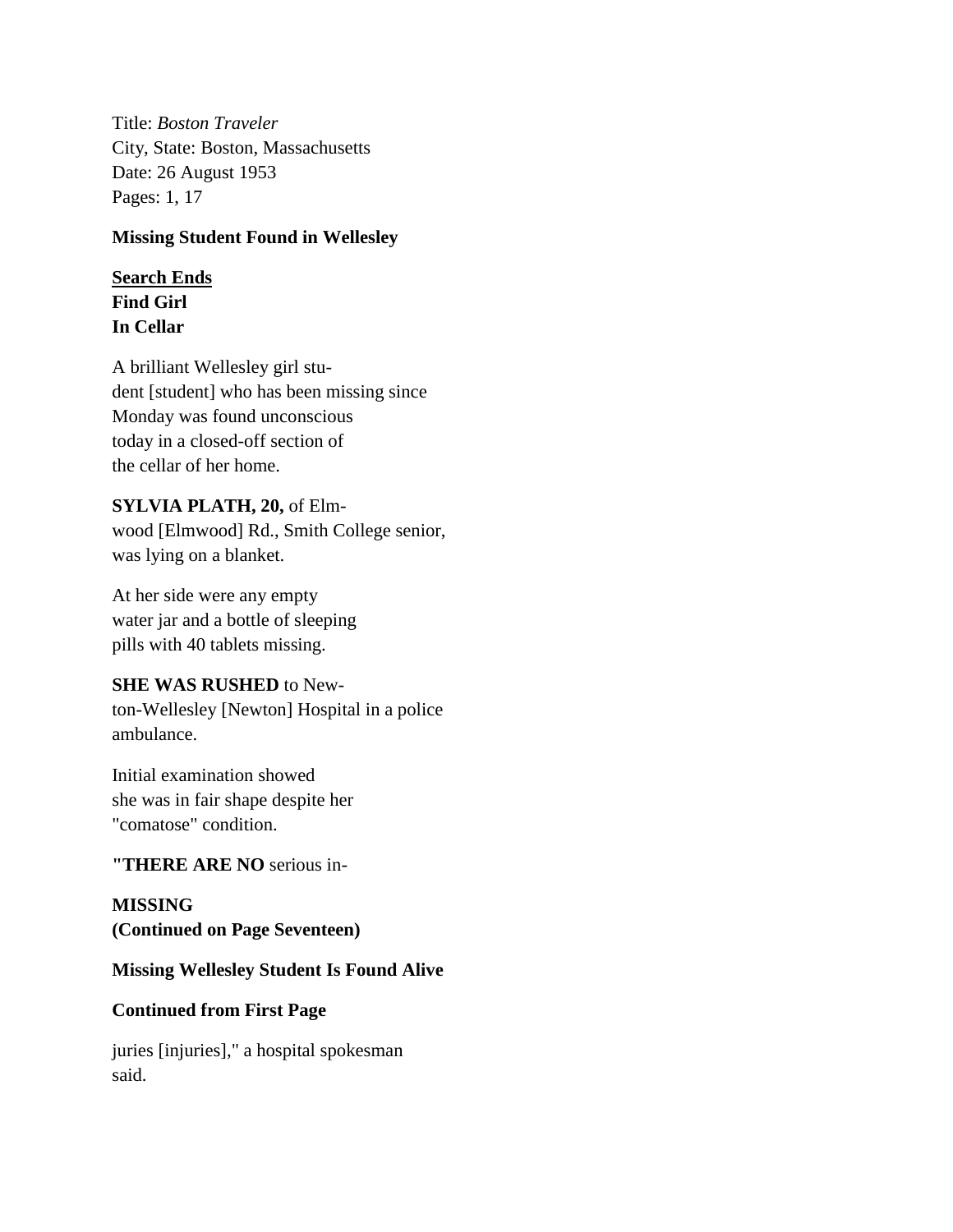Title: *Boston Traveler* City, State: Boston, Massachusetts Date: 26 August 1953 Pages: 1, 17

#### **Missing Student Found in Wellesley**

# **Search Ends**

**Find Girl In Cellar**

A brilliant Wellesley girl student [student] who has been missing since Monday was found unconscious today in a closed-off section of the cellar of her home.

#### **SYLVIA PLATH, 20,** of Elm-

wood [Elmwood] Rd., Smith College senior, was lying on a blanket.

At her side were any empty water jar and a bottle of sleeping pills with 40 tablets missing.

## **SHE WAS RUSHED** to New-

ton-Wellesley [Newton] Hospital in a police ambulance.

Initial examination showed she was in fair shape despite her "comatose" condition.

## **"THERE ARE NO** serious in-

**MISSING (Continued on Page Seventeen)**

## **Missing Wellesley Student Is Found Alive**

## **Continued from First Page**

juries [injuries]," a hospital spokesman said.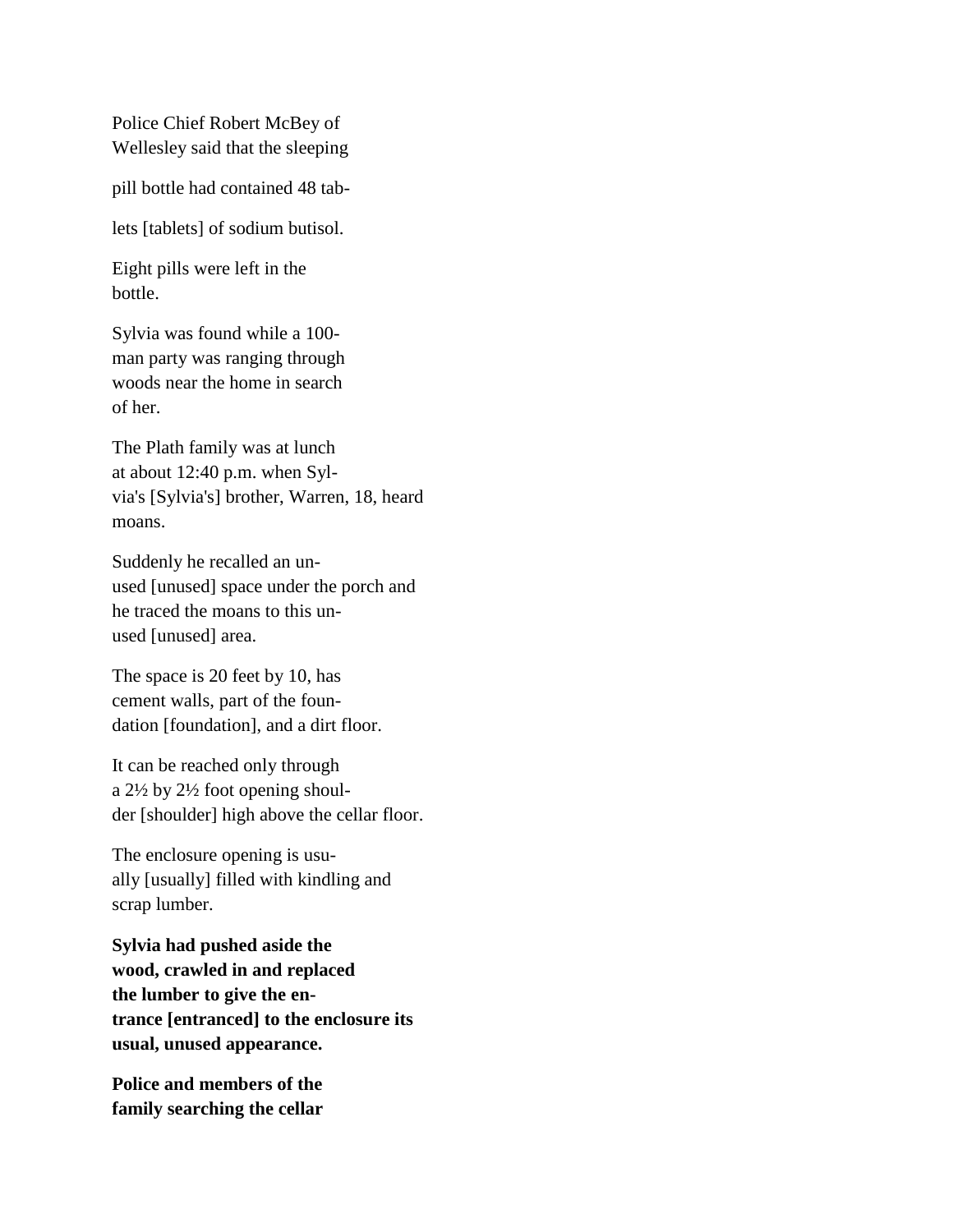Police Chief Robert McBey of Wellesley said that the sleeping

pill bottle had contained 48 tab-

lets [tablets] of sodium butisol.

Eight pills were left in the bottle.

Sylvia was found while a 100 man party was ranging through woods near the home in search of her.

The Plath family was at lunch at about 12:40 p.m. when Sylvia's [Sylvia's] brother, Warren, 18, heard moans.

Suddenly he recalled an unused [unused] space under the porch and he traced the moans to this unused [unused] area.

The space is 20 feet by 10, has cement walls, part of the foundation [foundation], and a dirt floor.

It can be reached only through a 2½ by 2½ foot opening shoulder [shoulder] high above the cellar floor.

The enclosure opening is usually [usually] filled with kindling and scrap lumber.

**Sylvia had pushed aside the wood, crawled in and replaced the lumber to give the entrance [entranced] to the enclosure its usual, unused appearance.**

**Police and members of the family searching the cellar**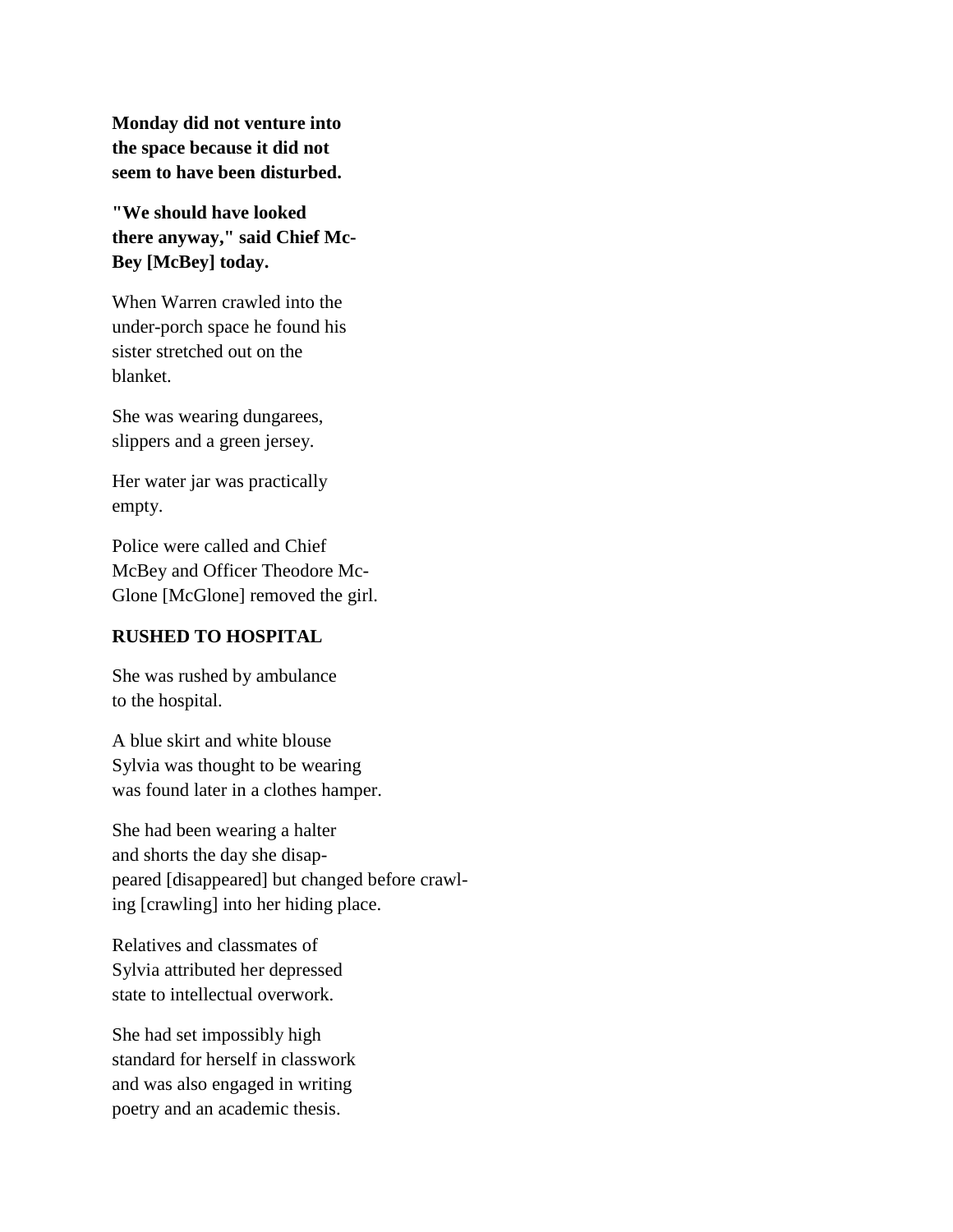**Monday did not venture into the space because it did not seem to have been disturbed.**

**"We should have looked there anyway," said Chief Mc-Bey [McBey] today.**

When Warren crawled into the under-porch space he found his sister stretched out on the blanket.

She was wearing dungarees, slippers and a green jersey.

Her water jar was practically empty.

Police were called and Chief McBey and Officer Theodore Mc-Glone [McGlone] removed the girl.

#### **RUSHED TO HOSPITAL**

She was rushed by ambulance to the hospital.

A blue skirt and white blouse Sylvia was thought to be wearing was found later in a clothes hamper.

She had been wearing a halter and shorts the day she disappeared [disappeared] but changed before crawling [crawling] into her hiding place.

Relatives and classmates of Sylvia attributed her depressed state to intellectual overwork.

She had set impossibly high standard for herself in classwork and was also engaged in writing poetry and an academic thesis.